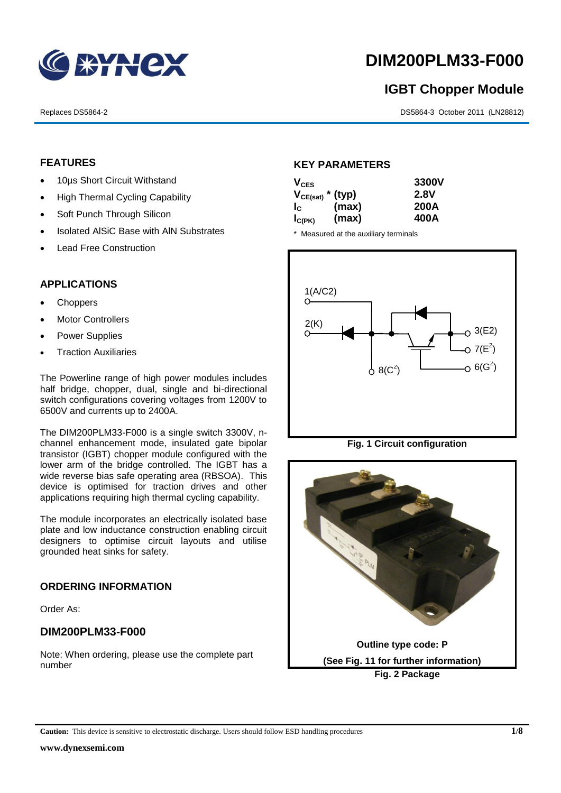

# **DIM200PLM33-F000**

# **IGBT Chopper Module**

Replaces DS5864-2 DS5864-3 October 2011 (LN28812)

# **FEATURES**

- 10µs Short Circuit Withstand
- High Thermal Cycling Capability
- Soft Punch Through Silicon
- Isolated AISiC Base with AIN Substrates
- Lead Free Construction

# **APPLICATIONS**

- Choppers
- Motor Controllers
- Power Supplies
- Traction Auxiliaries

The Powerline range of high power modules includes half bridge, chopper, dual, single and bi-directional switch configurations covering voltages from 1200V to 6500V and currents up to 2400A.

The DIM200PLM33-F000 is a single switch 3300V, nchannel enhancement mode, insulated gate bipolar transistor (IGBT) chopper module configured with the lower arm of the bridge controlled. The IGBT has a wide reverse bias safe operating area (RBSOA). This device is optimised for traction drives and other applications requiring high thermal cycling capability.

The module incorporates an electrically isolated base plate and low inductance construction enabling circuit designers to optimise circuit layouts and utilise grounded heat sinks for safety.

# **ORDERING INFORMATION**

Order As:

## **DIM200PLM33-F000**

Note: When ordering, please use the complete part number

# **KEY PARAMETERS**

| $V_{CES}$             |       | 3300V       |
|-----------------------|-------|-------------|
| $V_{CE(sat)}$ * (typ) |       | <b>2.8V</b> |
| $I_{\rm c}$           | (max) | 200A        |
| $I_{C(PK)}$           | (max) | 400A        |

\* Measured at the auxiliary terminals



**Fig. 1 Circuit configuration**



**Caution:** This device is sensitive to electrostatic discharge. Users should follow ESD handling procedures **1/8**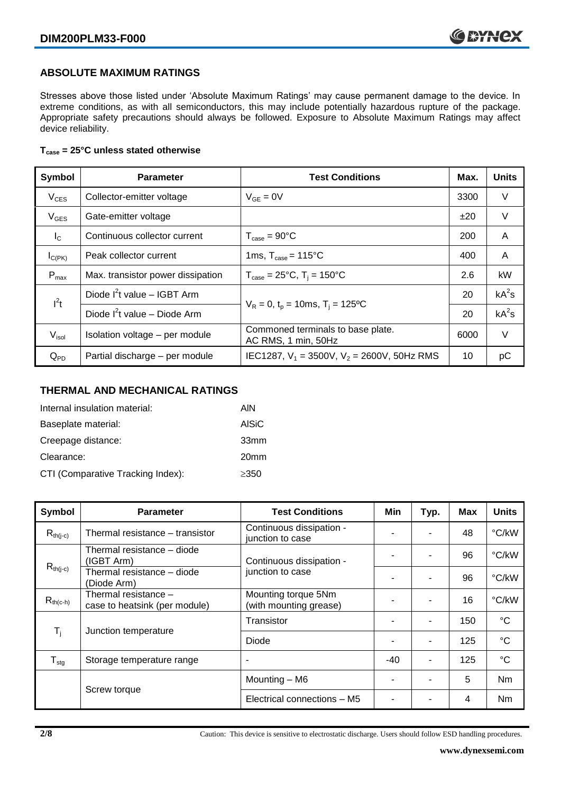# **ABSOLUTE MAXIMUM RATINGS**

Stresses above those listed under 'Absolute Maximum Ratings' may cause permanent damage to the device. In extreme conditions, as with all semiconductors, this may include potentially hazardous rupture of the package. Appropriate safety precautions should always be followed. Exposure to Absolute Maximum Ratings may affect device reliability.

## **Tcase = 25°C unless stated otherwise**

| Symbol           | <b>Test Conditions</b><br><b>Parameter</b>                                  |                                                          | Max. | <b>Units</b> |
|------------------|-----------------------------------------------------------------------------|----------------------------------------------------------|------|--------------|
| $V_{CES}$        | Collector-emitter voltage                                                   | $V_{GE} = 0V$<br>3300                                    |      | V            |
| $V_{GES}$        | Gate-emitter voltage                                                        |                                                          | ±20  | $\vee$       |
| $I_{\rm C}$      | Continuous collector current                                                | $T_{\text{case}} = 90^{\circ}$ C                         | 200  | A            |
| $I_{C(PK)}$      | Peak collector current                                                      | 1ms, $T_{\text{case}} = 115^{\circ}$ C                   | 400  | A            |
| $P_{\text{max}}$ | Max. transistor power dissipation                                           | $T_{\text{case}} = 25^{\circ}C$ , $T_i = 150^{\circ}C$   | 2.6  | kW           |
| $l^2t$           | Diode $I^2$ t value – IGBT Arm                                              |                                                          |      | $kA^2s$      |
|                  | $V_R = 0$ , $t_p = 10$ ms, $T_i = 125$ °C<br>Diode $I^2t$ value – Diode Arm |                                                          | 20   | $kA^2s$      |
| $V_{\sf isol}$   | Isolation voltage - per module                                              | Commoned terminals to base plate.<br>AC RMS, 1 min, 50Hz | 6000 | V            |
| $Q_{PD}$         | Partial discharge - per module                                              | IEC1287, $V_1 = 3500V$ , $V_2 = 2600V$ , 50Hz RMS        | 10   | рC           |

# **THERMAL AND MECHANICAL RATINGS**

| Internal insulation material:     | AIN              |
|-----------------------------------|------------------|
| Baseplate material:               | <b>AISiC</b>     |
| Creepage distance:                | 33mm             |
| Clearance:                        | 20 <sub>mm</sub> |
| CTI (Comparative Tracking Index): | $\geq$ 350       |

| Symbol                       | <b>Parameter</b>                                      | <b>Test Conditions</b>                        | Min   | Typ.                     | Max | <b>Units</b>    |
|------------------------------|-------------------------------------------------------|-----------------------------------------------|-------|--------------------------|-----|-----------------|
| $R_{th(i-c)}$                | Thermal resistance – transistor                       | Continuous dissipation -<br>junction to case  |       | $\blacksquare$           | 48  | °C/kW           |
|                              | Thermal resistance - diode<br>(IGBT Arm)              | Continuous dissipation -                      |       | $\overline{\phantom{a}}$ | 96  | °C/kW           |
| $R_{th(j-c)}$                | Thermal resistance - diode<br>(Diode Arm)             | junction to case                              |       | $\blacksquare$           | 96  | °C/kW           |
| $R_{th(c-h)}$                | Thermal resistance -<br>case to heatsink (per module) | Mounting torque 5Nm<br>(with mounting grease) |       | $\overline{\phantom{a}}$ | 16  | °C/kW           |
| T <sub>i</sub>               |                                                       | Transistor                                    |       | $\overline{\phantom{a}}$ | 150 | °C              |
|                              | Junction temperature                                  | Diode                                         |       | $\overline{\phantom{a}}$ | 125 | °C              |
| ${\mathsf T}_{\textsf{stg}}$ | Storage temperature range                             | $\overline{\phantom{a}}$                      | $-40$ | ٠                        | 125 | $\rm ^{\circ}C$ |
|                              |                                                       | Mounting - M6                                 |       |                          | 5   | <b>Nm</b>       |
| Screw torque                 |                                                       | Electrical connections - M5                   |       |                          | 4   | N <sub>m</sub>  |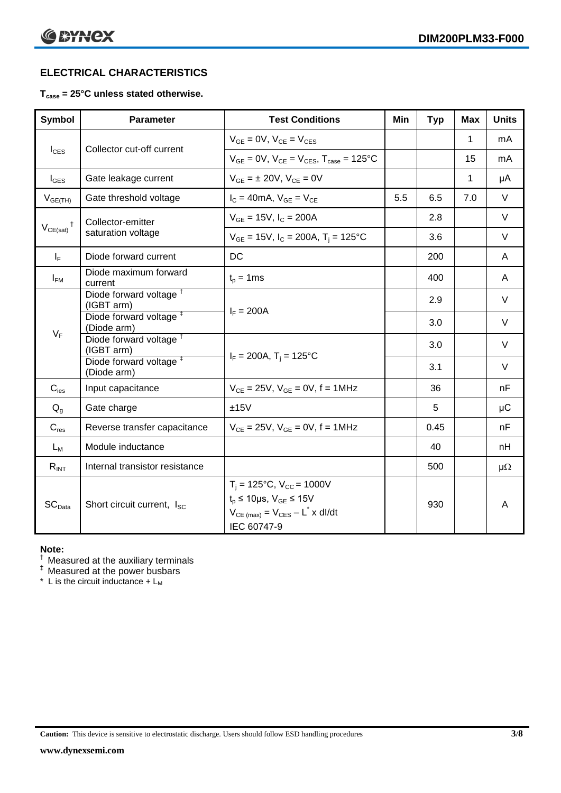# **ELECTRICAL CHARACTERISTICS**

# **Tcase = 25°C unless stated otherwise.**

| <b>Symbol</b>      | <b>Parameter</b>                                  | <b>Test Conditions</b>                                                                                                                          |     | <b>Typ</b> | <b>Max</b>   | <b>Units</b> |
|--------------------|---------------------------------------------------|-------------------------------------------------------------------------------------------------------------------------------------------------|-----|------------|--------------|--------------|
|                    |                                                   | $V_{GE} = 0V$ , $V_{CE} = V_{CES}$                                                                                                              |     |            | 1            | mA           |
| $I_{\text{CES}}$   | Collector cut-off current                         | $V_{GE} = 0V$ , $V_{CE} = V_{CES}$ , $T_{case} = 125^{\circ}C$                                                                                  |     |            | 15           | mA           |
| $I_{\text{GES}}$   | Gate leakage current                              | $V_{GF} = \pm 20V$ , $V_{CF} = 0V$                                                                                                              |     |            | $\mathbf{1}$ | μA           |
| $V_{GE(TH)}$       | Gate threshold voltage                            | $I_C = 40mA$ , $V_{GE} = V_{CE}$                                                                                                                | 5.5 | 6.5        | 7.0          | $\vee$       |
|                    | Collector-emitter                                 | $V_{GE}$ = 15V, $I_C$ = 200A                                                                                                                    |     | 2.8        |              | $\vee$       |
| $V_{CE(sat)}$      | saturation voltage                                | $V_{GE}$ = 15V, I <sub>C</sub> = 200A, T <sub>i</sub> = 125°C                                                                                   |     | 3.6        |              | V            |
| $I_F$              | Diode forward current                             | DC                                                                                                                                              |     | 200        |              | A            |
| $I_{FM}$           | Diode maximum forward<br>current                  | $t_p = 1$ ms                                                                                                                                    |     | 400        |              | A            |
|                    | Diode forward voltage <sup>t</sup><br>(IGBT arm)  | $I_F = 200A$                                                                                                                                    |     | 2.9        |              | V            |
|                    | Diode forward voltage <sup>#</sup><br>(Diode arm) |                                                                                                                                                 |     | 3.0        |              | V            |
| $V_F$              | Diode forward voltage <sup>†</sup><br>(IGBT arm)  | $I_F = 200A$ , $T_i = 125^{\circ}C$                                                                                                             |     | 3.0        |              | V            |
|                    | Diode forward voltage <sup>#</sup><br>(Diode arm) |                                                                                                                                                 |     | 3.1        |              | $\vee$       |
| $C_{\mathsf{ies}}$ | Input capacitance                                 | $V_{CE} = 25V$ , $V_{GE} = 0V$ , $f = 1MHz$                                                                                                     |     | 36         |              | nF           |
| $Q_q$              | Gate charge                                       | ±15V                                                                                                                                            |     | 5          |              | μC           |
| $C_{res}$          | Reverse transfer capacitance                      | $V_{CE} = 25V$ , $V_{GE} = 0V$ , f = 1MHz                                                                                                       |     | 0.45       |              | nF           |
| $L_M$              | Module inductance                                 |                                                                                                                                                 |     | 40         |              | nH           |
| $R_{INT}$          | Internal transistor resistance                    |                                                                                                                                                 |     | 500        |              | $\mu\Omega$  |
| SC <sub>Data</sub> | Short circuit current, I <sub>SC</sub>            | $T_i = 125$ °C, $V_{CC} = 1000V$<br>$t_p \le 10 \mu s$ , $V_{GE} \le 15V$<br>$V_{CE \text{ (max)}} = V_{CES} - L^* \times dl/dt$<br>IEC 60747-9 |     | 930        |              | A            |

#### **Note:**

 $\dagger$  Measured at the auxiliary terminals

 $<sup>‡</sup>$  Measured at the power busbars</sup>

 $*$  L is the circuit inductance  $+$  L<sub>M</sub>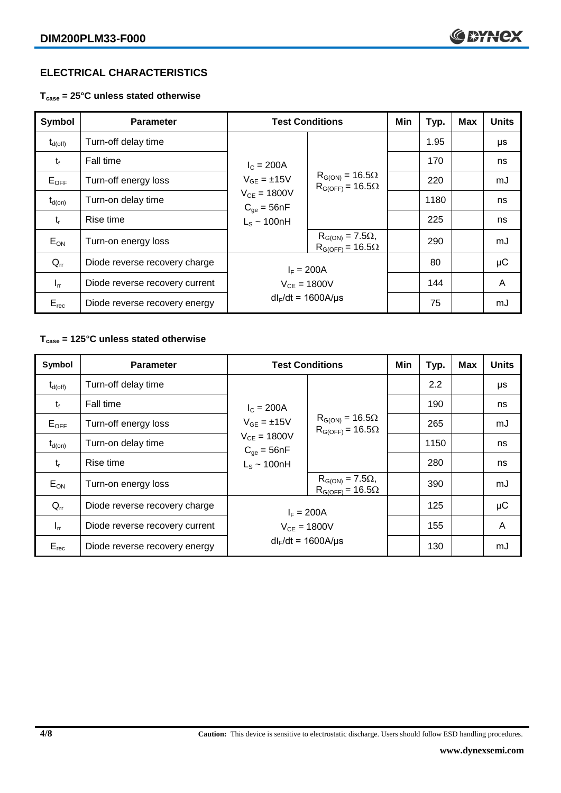# **ELECTRICAL CHARACTERISTICS**

**Tcase = 25°C unless stated otherwise**

| <b>Symbol</b>    | <b>Parameter</b>               | <b>Test Conditions</b>                                      |                                                        | Min | Typ. | <b>Max</b> | <b>Units</b> |
|------------------|--------------------------------|-------------------------------------------------------------|--------------------------------------------------------|-----|------|------------|--------------|
| $\rm t_{d(off)}$ | Turn-off delay time            |                                                             |                                                        |     | 1.95 |            | μs           |
| $t_{\rm f}$      | Fall time                      | $I_c = 200A$<br>$V_{GE} = \pm 15V$                          | $R_{G(ON)} = 16.5\Omega$<br>$R_{G(OFF)} = 16.5\Omega$  |     | 170  |            | ns           |
| $E_{OFF}$        | Turn-off energy loss           |                                                             |                                                        |     | 220  |            | mJ           |
| $t_{d(on)}$      | Turn-on delay time             | $V_{CE} = 1800V$<br>$C_{qe} = 56nF$                         |                                                        |     | 1180 |            | ns           |
| $t_{r}$          | Rise time                      | $L_S \sim 100nH$                                            |                                                        |     | 225  |            | ns           |
| $E_{ON}$         | Turn-on energy loss            |                                                             | $R_{G(ON)} = 7.5\Omega$ ,<br>$R_{G(OFF)} = 16.5\Omega$ |     | 290  |            | mJ           |
| $Q_{rr}$         | Diode reverse recovery charge  | $I_F = 200A$<br>$V_{CE} = 1800V$<br>$dl_F/dt = 1600A/\mu s$ |                                                        |     | 80   |            | $\mu$ C      |
| $I_{rr}$         | Diode reverse recovery current |                                                             |                                                        |     | 144  |            | A            |
| $E_{rec}$        | Diode reverse recovery energy  |                                                             |                                                        |     | 75   |            | mJ           |

# **Tcase = 125°C unless stated otherwise**

| Symbol              | <b>Parameter</b>               |                                     | <b>Test Conditions</b>                                 | Min | Typ. | <b>Max</b> | <b>Units</b> |
|---------------------|--------------------------------|-------------------------------------|--------------------------------------------------------|-----|------|------------|--------------|
| $t_{d(\text{off})}$ | Turn-off delay time            |                                     |                                                        |     | 2.2  |            | μs           |
| $t_{\rm f}$         | Fall time                      | $I_c = 200A$<br>$V_{GF} = \pm 15V$  | $R_{G(ON)} = 16.5\Omega$<br>$R_{G(OFF)} = 16.5\Omega$  |     | 190  |            | ns           |
| $E_{OFF}$           | Turn-off energy loss           |                                     |                                                        |     | 265  |            | mJ           |
| $t_{d(on)}$         | Turn-on delay time             | $V_{CE} = 1800V$<br>$C_{qe} = 56nF$ |                                                        |     | 1150 |            | ns           |
| $t_{r}$             | Rise time                      | $L_s \sim 100$ nH                   |                                                        |     | 280  |            | ns           |
| $E_{ON}$            | Turn-on energy loss            |                                     | $R_{G(ON)} = 7.5\Omega$ ,<br>$R_{G(OFF)} = 16.5\Omega$ |     | 390  |            | mJ           |
| $Q_{rr}$            | Diode reverse recovery charge  | $I_F = 200A$                        |                                                        |     | 125  |            | $\mu$ C      |
| $I_{rr}$            | Diode reverse recovery current | $V_{CE} = 1800V$                    |                                                        |     | 155  |            | A            |
| $E_{rec}$           | Diode reverse recovery energy  | $dl_F/dt = 1600A/\mu s$             |                                                        |     | 130  |            | mJ           |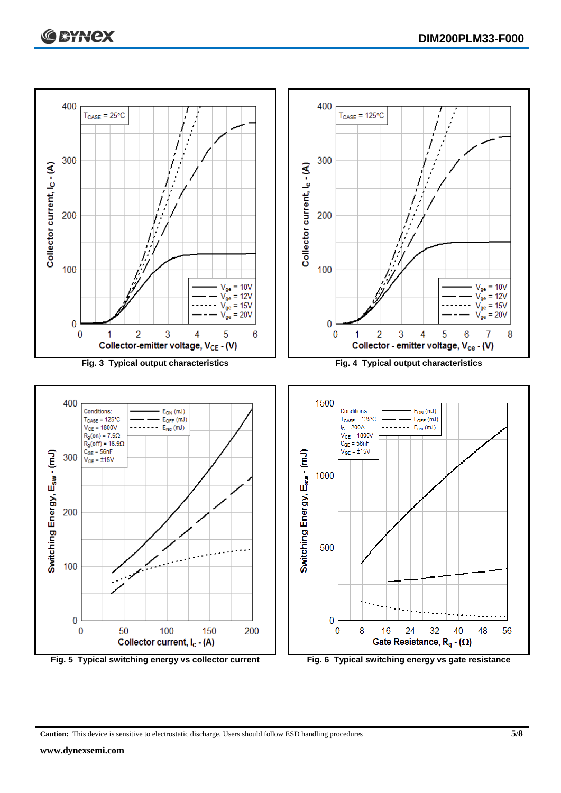

**Caution:** This device is sensitive to electrostatic discharge. Users should follow ESD handling procedures **5/8**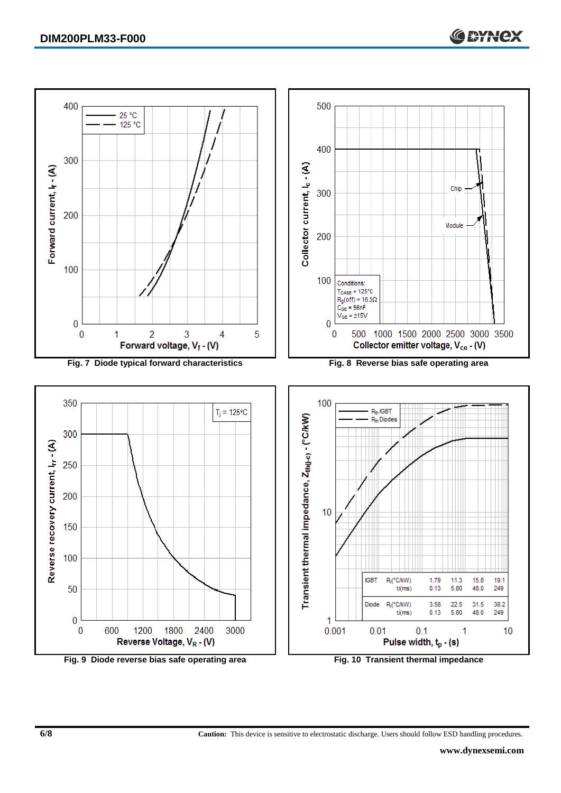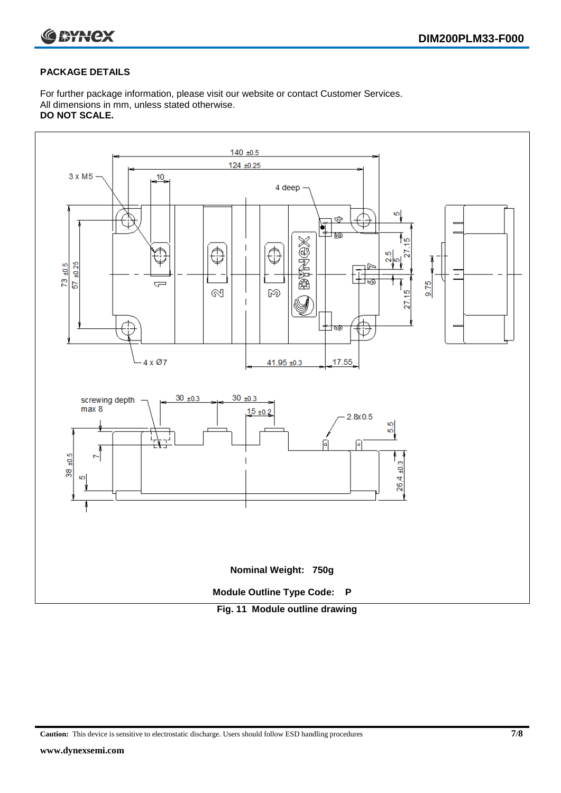

# **PACKAGE DETAILS**

For further package information, please visit our website or contact Customer Services. All dimensions in mm, unless stated otherwise. **DO NOT SCALE.**



**Caution:** This device is sensitive to electrostatic discharge. Users should follow ESD handling procedures **7/8**